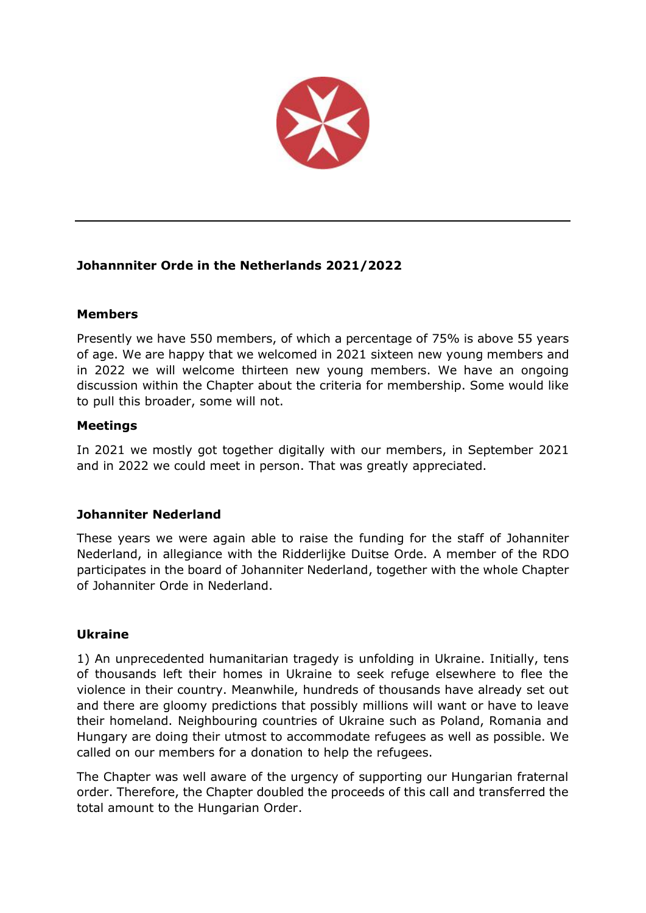

# **Johannniter Orde in the Netherlands 2021/2022**

# **Members**

Presently we have 550 members, of which a percentage of 75% is above 55 years of age. We are happy that we welcomed in 2021 sixteen new young members and in 2022 we will welcome thirteen new young members. We have an ongoing discussion within the Chapter about the criteria for membership. Some would like to pull this broader, some will not.

# **Meetings**

In 2021 we mostly got together digitally with our members, in September 2021 and in 2022 we could meet in person. That was greatly appreciated.

### **Johanniter Nederland**

These years we were again able to raise the funding for the staff of Johanniter Nederland, in allegiance with the Ridderlijke Duitse Orde. A member of the RDO participates in the board of Johanniter Nederland, together with the whole Chapter of Johanniter Orde in Nederland.

### **Ukraine**

1) An unprecedented humanitarian tragedy is unfolding in Ukraine. Initially, tens of thousands left their homes in Ukraine to seek refuge elsewhere to flee the violence in their country. Meanwhile, hundreds of thousands have already set out and there are gloomy predictions that possibly millions will want or have to leave their homeland. Neighbouring countries of Ukraine such as Poland, Romania and Hungary are doing their utmost to accommodate refugees as well as possible. We called on our members for a donation to help the refugees.

The Chapter was well aware of the urgency of supporting our Hungarian fraternal order. Therefore, the Chapter doubled the proceeds of this call and transferred the total amount to the Hungarian Order.